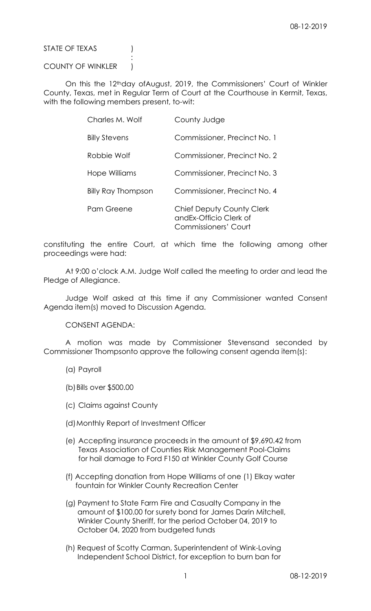STATE OF TEXAS (1)

## COUNTY OF WINKLER )

**Service State State State State** 

 On this the 12thday ofAugust, 2019, the Commissioners' Court of Winkler County, Texas, met in Regular Term of Court at the Courthouse in Kermit, Texas, with the following members present, to-wit:

| Charles M. Wolf           | County Judge                                                                        |
|---------------------------|-------------------------------------------------------------------------------------|
| <b>Billy Stevens</b>      | Commissioner, Precinct No. 1                                                        |
| Robbie Wolf               | Commissioner, Precinct No. 2                                                        |
| Hope Williams             | Commissioner, Precinct No. 3                                                        |
| <b>Billy Ray Thompson</b> | Commissioner, Precinct No. 4                                                        |
| Pam Greene                | <b>Chief Deputy County Clerk</b><br>and Ex-Officio Clerk of<br>Commissioners' Court |

constituting the entire Court, at which time the following among other proceedings were had:

 At 9:00 o'clock A.M. Judge Wolf called the meeting to order and lead the Pledge of Allegiance.

 Judge Wolf asked at this time if any Commissioner wanted Consent Agenda item(s) moved to Discussion Agenda.

CONSENT AGENDA:

 A motion was made by Commissioner Stevensand seconded by Commissioner Thompsonto approve the following consent agenda item(s):

- (a) Payroll
- (b)Bills over \$500.00
- (c) Claims against County
- (d)Monthly Report of Investment Officer
- (e) Accepting insurance proceeds in the amount of \$9,690.42 from Texas Association of Counties Risk Management Pool-Claims for hail damage to Ford F150 at Winkler County Golf Course
- (f) Accepting donation from Hope Williams of one (1) Elkay water fountain for Winkler County Recreation Center
- (g) Payment to State Farm Fire and Casualty Company in the amount of \$100.00 for surety bond for James Darin Mitchell, Winkler County Sheriff, for the period October 04, 2019 to October 04, 2020 from budgeted funds
- (h) Request of Scotty Carman, Superintendent of Wink-Loving Independent School District, for exception to burn ban for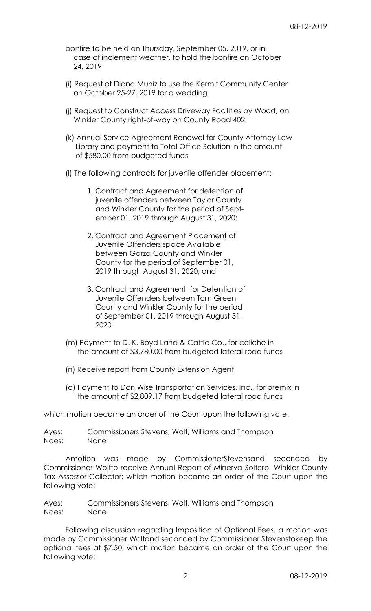- bonfire to be held on Thursday, September 05, 2019, or in case of inclement weather, to hold the bonfire on October 24, 2019
- (i) Request of Diana Muniz to use the Kermit Community Center on October 25-27, 2019 for a wedding
- (j) Request to Construct Access Driveway Facilities by Wood, on Winkler County right-of-way on County Road 402
- (k) Annual Service Agreement Renewal for County Attorney Law Library and payment to Total Office Solution in the amount of \$580.00 from budgeted funds
- (l) The following contracts for juvenile offender placement:
	- 1. Contract and Agreement for detention of juvenile offenders between Taylor County and Winkler County for the period of Sept ember 01, 2019 through August 31, 2020;
	- 2. Contract and Agreement Placement of Juvenile Offenders space Available between Garza County and Winkler County for the period of September 01, 2019 through August 31, 2020; and
	- 3. Contract and Agreement for Detention of Juvenile Offenders between Tom Green County and Winkler County for the period of September 01, 2019 through August 31, 2020
- (m) Payment to D. K. Boyd Land & Cattle Co., for caliche in the amount of \$3,780.00 from budgeted lateral road funds
- (n) Receive report from County Extension Agent
- (o) Payment to Don Wise Transportation Services, Inc., for premix in the amount of \$2,809.17 from budgeted lateral road funds

which motion became an order of the Court upon the following vote:

| Ayes: | Commissioners Stevens, Wolf, Williams and Thompson |
|-------|----------------------------------------------------|
| Noes: | None                                               |

 Amotion was made by CommissionerStevensand seconded by Commissioner Wolfto receive Annual Report of Minerva Soltero, Winkler County Tax Assessor-Collector; which motion became an order of the Court upon the following vote:

Ayes: Commissioners Stevens, Wolf, Williams and Thompson Noes: None

 Following discussion regarding Imposition of Optional Fees, a motion was made by Commissioner Wolfand seconded by Commissioner Stevenstokeep the optional fees at \$7.50; which motion became an order of the Court upon the following vote: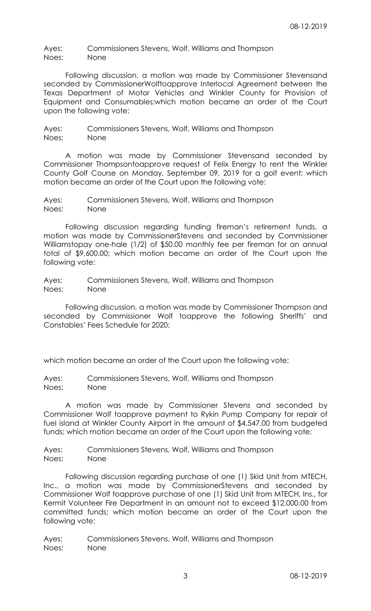Ayes: Commissioners Stevens, Wolf, Williams and Thompson Noes: None

 Following discussion, a motion was made by Commissioner Stevensand seconded by CommissionerWolftoapprove Interlocal Agreement between the Texas Department of Motor Vehicles and Winkler County for Provision of Equipment and Consumables;which motion became an order of the Court upon the following vote:

Ayes: Commissioners Stevens, Wolf, Williams and Thompson Noes: None

 A motion was made by Commissioner Stevensand seconded by Commissioner Thompsontoapprove request of Felix Energy to rent the Winkler County Golf Course on Monday, September 09, 2019 for a golf event; which motion became an order of the Court upon the following vote:

Ayes: Commissioners Stevens, Wolf, Williams and Thompson Noes: None

 Following discussion regarding funding fireman's retirement funds, a motion was made by CommissionerStevens and seconded by Commissioner Williamstopay one-hale (1/2) of \$50.00 monthly fee per fireman for an annual total of \$9,600.00; which motion became an order of the Court upon the following vote:

Ayes: Commissioners Stevens, Wolf, Williams and Thompson Noes: None

 Following discussion, a motion was made by Commissioner Thompson and seconded by Commissioner Wolf toapprove the following Sheriffs' and Constables' Fees Schedule for 2020:

which motion became an order of the Court upon the following vote:

Ayes: Commissioners Stevens, Wolf, Williams and Thompson Noes: None

 A motion was made by Commissioner Stevens and seconded by Commissioner Wolf toapprove payment to Rykin Pump Company for repair of fuel island at Winkler County Airport in the amount of \$4,547.00 from budgeted funds; which motion became an order of the Court upon the following vote:

Ayes: Commissioners Stevens, Wolf, Williams and Thompson Noes: None

 Following discussion regarding purchase of one (1) Skid Unit from MTECH, Inc., a motion was made by CommissionerStevens and seconded by Commissioner Wolf toapprove purchase of one (1) Skid Unit from MTECH, Ins., for Kermit Volunteer Fire Department in an amount not to exceed \$12,000.00 from committed funds; which motion became an order of the Court upon the following vote:

Ayes: Commissioners Stevens, Wolf, Williams and Thompson Noes: None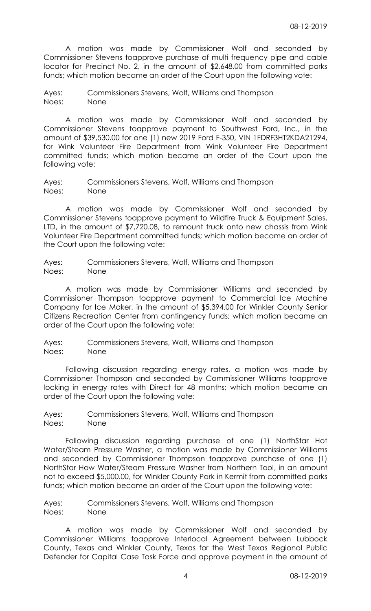A motion was made by Commissioner Wolf and seconded by Commissioner Stevens toapprove purchase of multi frequency pipe and cable locator for Precinct No. 2, in the amount of \$2,648.00 from committed parks funds; which motion became an order of the Court upon the following vote:

Ayes: Commissioners Stevens, Wolf, Williams and Thompson Noes: None

 A motion was made by Commissioner Wolf and seconded by Commissioner Stevens toapprove payment to Southwest Ford, Inc., in the amount of \$39,530.00 for one (1) new 2019 Ford F-350, VIN 1FDRF3HT2KDA21294, for Wink Volunteer Fire Department from Wink Volunteer Fire Department committed funds; which motion became an order of the Court upon the following vote:

Ayes: Commissioners Stevens, Wolf, Williams and Thompson Noes: None

 A motion was made by Commissioner Wolf and seconded by Commissioner Stevens toapprove payment to Wildfire Truck & Equipment Sales, LTD, in the amount of \$7,720.08, to remount truck onto new chassis from Wink Volunteer Fire Department committed funds; which motion became an order of the Court upon the following vote:

Ayes: Commissioners Stevens, Wolf, Williams and Thompson Noes: None

 A motion was made by Commissioner Williams and seconded by Commissioner Thompson toapprove payment to Commercial Ice Machine Company for Ice Maker, in the amount of \$5,394.00 for Winkler County Senior Citizens Recreation Center from contingency funds; which motion became an order of the Court upon the following vote:

Ayes: Commissioners Stevens, Wolf, Williams and Thompson Noes: None

 Following discussion regarding energy rates, a motion was made by Commissioner Thompson and seconded by Commissioner Williams toapprove locking in energy rates with Direct for 48 months; which motion became an order of the Court upon the following vote:

Ayes: Commissioners Stevens, Wolf, Williams and Thompson Noes: None

 Following discussion regarding purchase of one (1) NorthStar Hot Water/Steam Pressure Washer, a motion was made by Commissioner Williams and seconded by Commissioner Thompson toapprove purchase of one (1) NorthStar How Water/Steam Pressure Washer from Northern Tool, in an amount not to exceed \$5,000.00, for Winkler County Park in Kermit from committed parks funds; which motion became an order of the Court upon the following vote:

Ayes: Commissioners Stevens, Wolf, Williams and Thompson Noes: None

 A motion was made by Commissioner Wolf and seconded by Commissioner Williams toapprove Interlocal Agreement between Lubbock County, Texas and Winkler County, Texas for the West Texas Regional Public Defender for Capital Case Task Force and approve payment in the amount of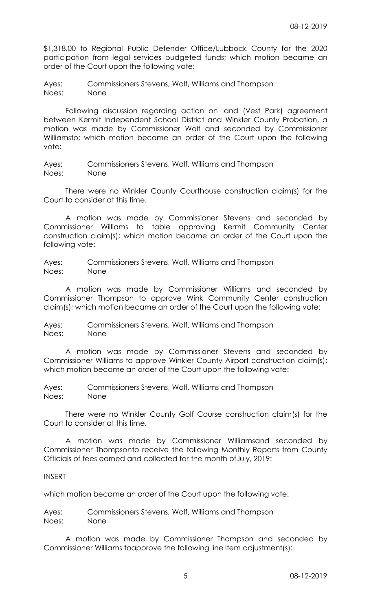\$1,318.00 to Regional Public Defender Office/Lubbock County for the 2020 participation from legal services budgeted funds; which motion became an order of the Court upon the following vote:

Ayes: Commissioners Stevens, Wolf, Williams and Thompson Noes: None

 Following discussion regarding action on land (Vest Park) agreement between Kermit Independent School District and Winkler County Probation, a motion was made by Commissioner Wolf and seconded by Commissioner Williamsto; which motion became an order of the Court upon the following vote:

Ayes: Commissioners Stevens, Wolf, Williams and Thompson Noes: None

 There were no Winkler County Courthouse construction claim(s) for the Court to consider at this time.

 A motion was made by Commissioner Stevens and seconded by Commissioner Williams to table approving Kermit Community Center construction claim(s); which motion became an order of the Court upon the following vote:

Ayes: Commissioners Stevens, Wolf, Williams and Thompson Noes: None

 A motion was made by Commissioner Williams and seconded by Commissioner Thompson to approve Wink Community Center construction claim(s); which motion became an order of the Court upon the following vote:

Ayes: Commissioners Stevens, Wolf, Williams and Thompson Noes: None

 A motion was made by Commissioner Stevens and seconded by Commissioner Williams to approve Winkler County Airport construction claim(s); which motion became an order of the Court upon the following vote:

Ayes: Commissioners Stevens, Wolf, Williams and Thompson Noes: None

 There were no Winkler County Golf Course construction claim(s) for the Court to consider at this time.

 A motion was made by Commissioner Williamsand seconded by Commissioner Thompsonto receive the following Monthly Reports from County Officials of fees earned and collected for the month ofJuly, 2019:

## INSERT

which motion became an order of the Court upon the following vote:

Ayes: Commissioners Stevens, Wolf, Williams and Thompson Noes: None

 A motion was made by Commissioner Thompson and seconded by Commissioner Williams toapprove the following line item adjustment(s):